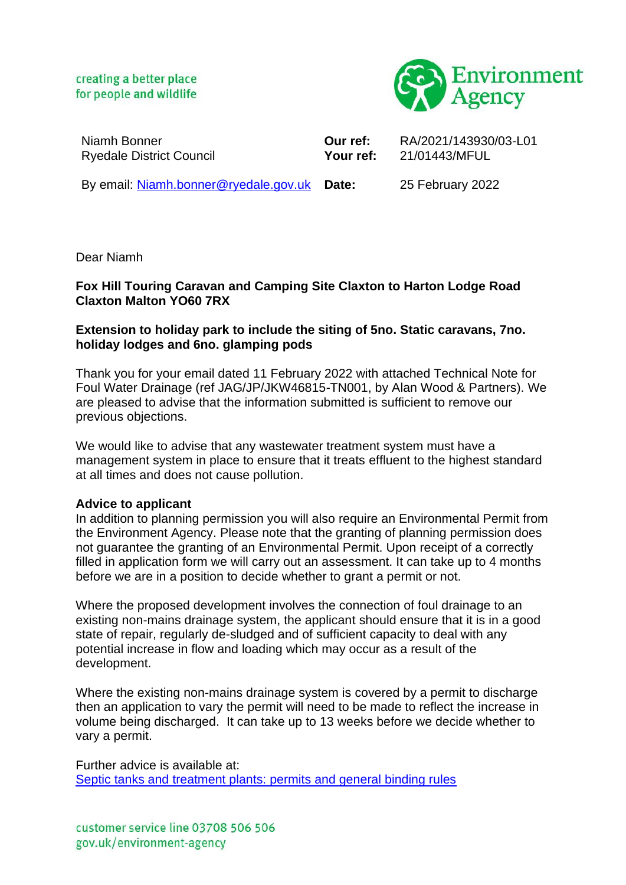creating a better place for people and wildlife



Niamh Bonner Ryedale District Council

**Our ref:** RA/2021/143930/03-L01 **Your ref:** 21/01443/MFUL

By email: [Niamh.bonner@ryedale.gov.uk](mailto:Niamh.bonner@ryedale.gov.uk) Date:

**Date:** 25 February 2022

Dear Niamh

## **Fox Hill Touring Caravan and Camping Site Claxton to Harton Lodge Road Claxton Malton YO60 7RX**

## **Extension to holiday park to include the siting of 5no. Static caravans, 7no. holiday lodges and 6no. glamping pods**

Thank you for your email dated 11 February 2022 with attached Technical Note for Foul Water Drainage (ref JAG/JP/JKW46815-TN001, by Alan Wood & Partners). We are pleased to advise that the information submitted is sufficient to remove our previous objections.

We would like to advise that any wastewater treatment system must have a management system in place to ensure that it treats effluent to the highest standard at all times and does not cause pollution.

## **Advice to applicant**

In addition to planning permission you will also require an Environmental Permit from the Environment Agency. Please note that the granting of planning permission does not guarantee the granting of an Environmental Permit. Upon receipt of a correctly filled in application form we will carry out an assessment. It can take up to 4 months before we are in a position to decide whether to grant a permit or not.

Where the proposed development involves the connection of foul drainage to an existing non-mains drainage system, the applicant should ensure that it is in a good state of repair, regularly de-sludged and of sufficient capacity to deal with any potential increase in flow and loading which may occur as a result of the development.

Where the existing non-mains drainage system is covered by a permit to discharge then an application to vary the permit will need to be made to reflect the increase in volume being discharged. It can take up to 13 weeks before we decide whether to vary a permit.

Further advice is available at: [Septic tanks and treatment plants: permits and general binding rules](https://www.gov.uk/permits-you-need-for-septic-tanks) 

customer service line 03708 506 506 gov.uk/environment-agency